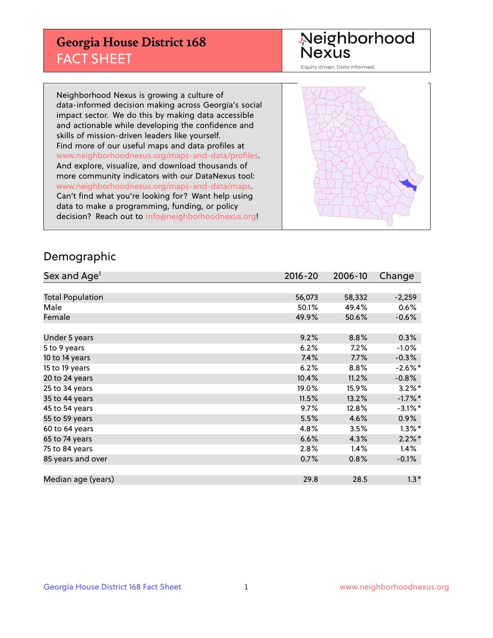## **Georgia House District 168** FACT SHEET

# Neighborhood<br>Nexus

Equity driven. Data informed.

Neighborhood Nexus is growing a culture of data-informed decision making across Georgia's social impact sector. We do this by making data accessible and actionable while developing the confidence and skills of mission-driven leaders like yourself. Find more of our useful maps and data profiles at www.neighborhoodnexus.org/maps-and-data/profiles. And explore, visualize, and download thousands of more community indicators with our DataNexus tool: www.neighborhoodnexus.org/maps-and-data/maps. Can't find what you're looking for? Want help using data to make a programming, funding, or policy decision? Reach out to [info@neighborhoodnexus.org!](mailto:info@neighborhoodnexus.org)



### Demographic

| Sex and Age <sup>1</sup> | $2016 - 20$ | 2006-10 | Change               |
|--------------------------|-------------|---------|----------------------|
|                          |             |         |                      |
| <b>Total Population</b>  | 56,073      | 58,332  | $-2,259$             |
| Male                     | 50.1%       | 49.4%   | 0.6%                 |
| Female                   | 49.9%       | 50.6%   | $-0.6%$              |
|                          |             |         |                      |
| Under 5 years            | 9.2%        | 8.8%    | 0.3%                 |
| 5 to 9 years             | 6.2%        | 7.2%    | $-1.0\%$             |
| 10 to 14 years           | 7.4%        | 7.7%    | $-0.3%$              |
| 15 to 19 years           | 6.2%        | 8.8%    | $-2.6\%$ *           |
| 20 to 24 years           | 10.4%       | 11.2%   | $-0.8%$              |
| 25 to 34 years           | 19.0%       | 15.9%   | $3.2\%$ <sup>*</sup> |
| 35 to 44 years           | 11.5%       | 13.2%   | $-1.7%$ *            |
| 45 to 54 years           | 9.7%        | 12.8%   | $-3.1\%$ *           |
| 55 to 59 years           | 5.5%        | 4.6%    | $0.9\%$              |
| 60 to 64 years           | 4.8%        | 3.5%    | $1.3\%$ *            |
| 65 to 74 years           | 6.6%        | 4.3%    | $2.2\%$ *            |
| 75 to 84 years           | 2.8%        | 1.4%    | $1.4\%$              |
| 85 years and over        | 0.7%        | 0.8%    | $-0.1%$              |
|                          |             |         |                      |
| Median age (years)       | 29.8        | 28.5    | $1.3*$               |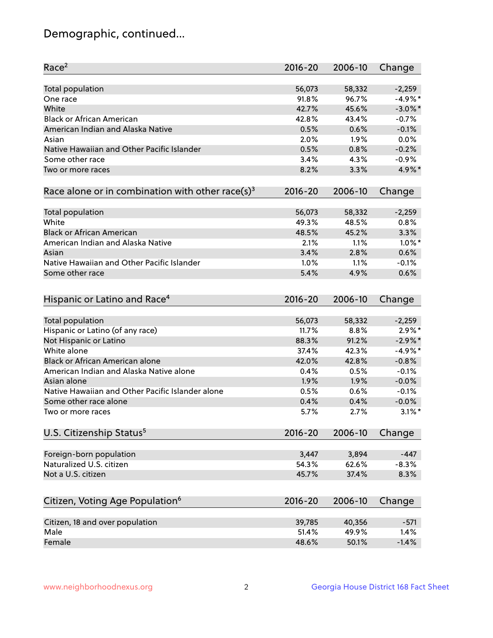## Demographic, continued...

| Race <sup>2</sup>                                            | 2016-20     | 2006-10 | Change               |
|--------------------------------------------------------------|-------------|---------|----------------------|
| <b>Total population</b>                                      | 56,073      | 58,332  | $-2,259$             |
| One race                                                     | 91.8%       | 96.7%   | $-4.9%$ *            |
| White                                                        | 42.7%       | 45.6%   | $-3.0\%$ *           |
| <b>Black or African American</b>                             | 42.8%       | 43.4%   | $-0.7%$              |
| American Indian and Alaska Native                            | 0.5%        | 0.6%    | $-0.1%$              |
| Asian                                                        | 2.0%        | 1.9%    | 0.0%                 |
| Native Hawaiian and Other Pacific Islander                   | 0.5%        | 0.8%    | $-0.2%$              |
| Some other race                                              | 3.4%        | 4.3%    | $-0.9%$              |
| Two or more races                                            | 8.2%        | 3.3%    | 4.9%*                |
| Race alone or in combination with other race(s) <sup>3</sup> | $2016 - 20$ | 2006-10 | Change               |
|                                                              |             |         |                      |
| Total population                                             | 56,073      | 58,332  | $-2,259$             |
| White                                                        | 49.3%       | 48.5%   | 0.8%                 |
| <b>Black or African American</b>                             | 48.5%       | 45.2%   | 3.3%                 |
| American Indian and Alaska Native                            | 2.1%        | 1.1%    | $1.0\%$ *            |
| Asian                                                        | 3.4%        | 2.8%    | 0.6%                 |
| Native Hawaiian and Other Pacific Islander                   | 1.0%        | 1.1%    | $-0.1%$              |
| Some other race                                              | 5.4%        | 4.9%    | 0.6%                 |
|                                                              |             |         |                      |
| Hispanic or Latino and Race <sup>4</sup>                     | $2016 - 20$ | 2006-10 | Change               |
| Total population                                             | 56,073      | 58,332  | $-2,259$             |
| Hispanic or Latino (of any race)                             | 11.7%       | 8.8%    | $2.9\%$ *            |
| Not Hispanic or Latino                                       | 88.3%       | 91.2%   | $-2.9\%$ *           |
| White alone                                                  | 37.4%       | 42.3%   | $-4.9%$ *            |
| Black or African American alone                              | 42.0%       | 42.8%   | $-0.8%$              |
| American Indian and Alaska Native alone                      | 0.4%        | 0.5%    | $-0.1%$              |
| Asian alone                                                  | 1.9%        | 1.9%    | $-0.0%$              |
| Native Hawaiian and Other Pacific Islander alone             | 0.5%        | 0.6%    | $-0.1%$              |
| Some other race alone                                        | 0.4%        | 0.4%    | $-0.0%$              |
|                                                              |             |         | $3.1\%$ <sup>*</sup> |
| Two or more races                                            | 5.7%        | 2.7%    |                      |
| U.S. Citizenship Status <sup>5</sup>                         | $2016 - 20$ | 2006-10 | Change               |
|                                                              | 3,447       | 3,894   | $-447$               |
| Foreign-born population<br>Naturalized U.S. citizen          | 54.3%       | 62.6%   | $-8.3%$              |
|                                                              |             |         |                      |
| Not a U.S. citizen                                           | 45.7%       | 37.4%   | 8.3%                 |
| Citizen, Voting Age Population <sup>6</sup>                  | $2016 - 20$ | 2006-10 | Change               |
|                                                              |             |         |                      |
| Citizen, 18 and over population                              | 39,785      | 40,356  | $-571$               |
| Male                                                         | 51.4%       | 49.9%   | 1.4%                 |
| Female                                                       | 48.6%       | 50.1%   | $-1.4%$              |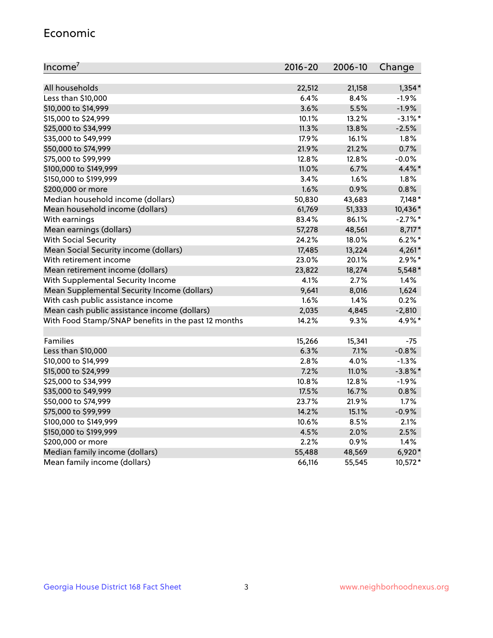#### Economic

| Income <sup>7</sup>                                 | $2016 - 20$ | 2006-10 | Change     |
|-----------------------------------------------------|-------------|---------|------------|
|                                                     |             |         |            |
| All households                                      | 22,512      | 21,158  | $1,354*$   |
| Less than \$10,000                                  | 6.4%        | 8.4%    | $-1.9%$    |
| \$10,000 to \$14,999                                | 3.6%        | 5.5%    | $-1.9%$    |
| \$15,000 to \$24,999                                | 10.1%       | 13.2%   | $-3.1\%$ * |
| \$25,000 to \$34,999                                | 11.3%       | 13.8%   | $-2.5%$    |
| \$35,000 to \$49,999                                | 17.9%       | 16.1%   | 1.8%       |
| \$50,000 to \$74,999                                | 21.9%       | 21.2%   | 0.7%       |
| \$75,000 to \$99,999                                | 12.8%       | 12.8%   | $-0.0%$    |
| \$100,000 to \$149,999                              | 11.0%       | 6.7%    | 4.4%*      |
| \$150,000 to \$199,999                              | 3.4%        | 1.6%    | 1.8%       |
| \$200,000 or more                                   | 1.6%        | 0.9%    | 0.8%       |
| Median household income (dollars)                   | 50,830      | 43,683  | $7,148*$   |
| Mean household income (dollars)                     | 61,769      | 51,333  | 10,436*    |
| With earnings                                       | 83.4%       | 86.1%   | $-2.7%$ *  |
| Mean earnings (dollars)                             | 57,278      | 48,561  | 8,717*     |
| <b>With Social Security</b>                         | 24.2%       | 18.0%   | $6.2\%$ *  |
| Mean Social Security income (dollars)               | 17,485      | 13,224  | 4,261*     |
| With retirement income                              | 23.0%       | 20.1%   | $2.9\%*$   |
| Mean retirement income (dollars)                    | 23,822      | 18,274  | 5,548*     |
| With Supplemental Security Income                   | 4.1%        | 2.7%    | 1.4%       |
| Mean Supplemental Security Income (dollars)         | 9,641       | 8,016   | 1,624      |
| With cash public assistance income                  | 1.6%        | 1.4%    | 0.2%       |
| Mean cash public assistance income (dollars)        | 2,035       | 4,845   | $-2,810$   |
| With Food Stamp/SNAP benefits in the past 12 months | 14.2%       | 9.3%    | 4.9%*      |
|                                                     |             |         |            |
| Families                                            | 15,266      | 15,341  | $-75$      |
| Less than \$10,000                                  | $6.3\%$     | 7.1%    | $-0.8%$    |
| \$10,000 to \$14,999                                | 2.8%        | 4.0%    | $-1.3%$    |
| \$15,000 to \$24,999                                | 7.2%        | 11.0%   | $-3.8\%$ * |
| \$25,000 to \$34,999                                | 10.8%       | 12.8%   | $-1.9%$    |
| \$35,000 to \$49,999                                | 17.5%       | 16.7%   | 0.8%       |
| \$50,000 to \$74,999                                | 23.7%       | 21.9%   | 1.7%       |
| \$75,000 to \$99,999                                | 14.2%       | 15.1%   | $-0.9%$    |
| \$100,000 to \$149,999                              | 10.6%       | 8.5%    | 2.1%       |
| \$150,000 to \$199,999                              | 4.5%        | 2.0%    | 2.5%       |
| \$200,000 or more                                   | 2.2%        | 0.9%    | 1.4%       |
| Median family income (dollars)                      | 55,488      | 48,569  | $6,920*$   |
| Mean family income (dollars)                        | 66,116      | 55,545  | 10,572*    |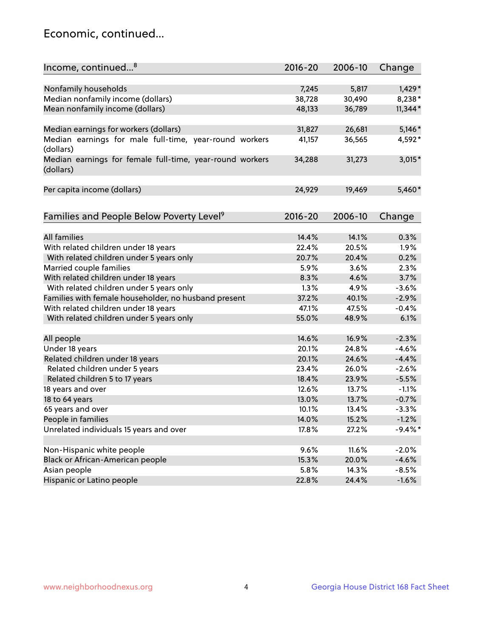## Economic, continued...

| Income, continued <sup>8</sup>                                        | $2016 - 20$ | 2006-10 | Change    |
|-----------------------------------------------------------------------|-------------|---------|-----------|
|                                                                       |             |         |           |
| Nonfamily households                                                  | 7,245       | 5,817   | 1,429*    |
| Median nonfamily income (dollars)                                     | 38,728      | 30,490  | 8,238*    |
| Mean nonfamily income (dollars)                                       | 48,133      | 36,789  | $11,344*$ |
| Median earnings for workers (dollars)                                 | 31,827      | 26,681  | $5,146*$  |
| Median earnings for male full-time, year-round workers                | 41,157      | 36,565  | 4,592*    |
| (dollars)                                                             |             |         |           |
| Median earnings for female full-time, year-round workers<br>(dollars) | 34,288      | 31,273  | $3,015*$  |
| Per capita income (dollars)                                           | 24,929      | 19,469  | 5,460*    |
|                                                                       |             |         |           |
| Families and People Below Poverty Level <sup>9</sup>                  | 2016-20     | 2006-10 | Change    |
|                                                                       |             |         |           |
| <b>All families</b>                                                   | 14.4%       | 14.1%   | 0.3%      |
| With related children under 18 years                                  | 22.4%       | 20.5%   | 1.9%      |
| With related children under 5 years only                              | 20.7%       | 20.4%   | 0.2%      |
| Married couple families                                               | 5.9%        | 3.6%    | 2.3%      |
| With related children under 18 years                                  | 8.3%        | 4.6%    | 3.7%      |
| With related children under 5 years only                              | 1.3%        | 4.9%    | $-3.6%$   |
| Families with female householder, no husband present                  | 37.2%       | 40.1%   | $-2.9%$   |
| With related children under 18 years                                  | 47.1%       | 47.5%   | $-0.4%$   |
| With related children under 5 years only                              | 55.0%       | 48.9%   | 6.1%      |
|                                                                       |             |         |           |
| All people                                                            | 14.6%       | 16.9%   | $-2.3%$   |
| Under 18 years                                                        | 20.1%       | 24.8%   | $-4.6%$   |
| Related children under 18 years                                       | 20.1%       | 24.6%   | $-4.4%$   |
| Related children under 5 years                                        | 23.4%       | 26.0%   | $-2.6%$   |
| Related children 5 to 17 years                                        | 18.4%       | 23.9%   | $-5.5%$   |
| 18 years and over                                                     | 12.6%       | 13.7%   | $-1.1%$   |
| 18 to 64 years                                                        | 13.0%       | 13.7%   | $-0.7%$   |
| 65 years and over                                                     | 10.1%       | 13.4%   | $-3.3%$   |
| People in families                                                    | 14.0%       | 15.2%   | $-1.2%$   |
| Unrelated individuals 15 years and over                               | 17.8%       | 27.2%   | $-9.4%$ * |
|                                                                       |             |         |           |
| Non-Hispanic white people                                             | 9.6%        | 11.6%   | $-2.0%$   |
| Black or African-American people                                      | 15.3%       | 20.0%   | $-4.6%$   |
| Asian people                                                          | 5.8%        | 14.3%   | $-8.5%$   |
| Hispanic or Latino people                                             | 22.8%       | 24.4%   | $-1.6%$   |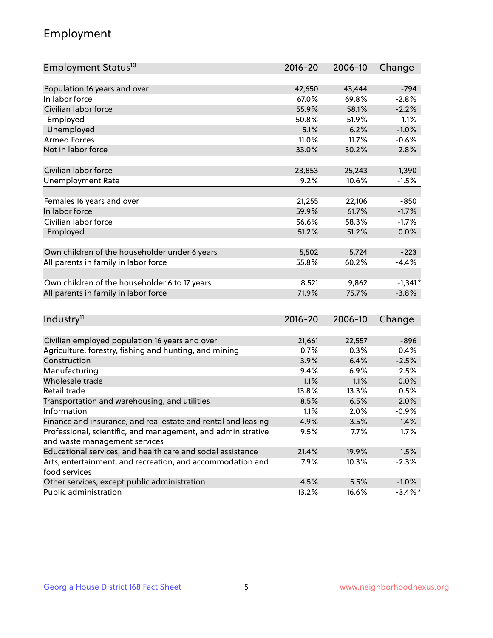## Employment

| Employment Status <sup>10</sup>                                             | $2016 - 20$ | 2006-10 | Change     |
|-----------------------------------------------------------------------------|-------------|---------|------------|
|                                                                             |             |         |            |
| Population 16 years and over                                                | 42,650      | 43,444  | $-794$     |
| In labor force                                                              | 67.0%       | 69.8%   | $-2.8%$    |
| Civilian labor force                                                        | 55.9%       | 58.1%   | $-2.2%$    |
| Employed                                                                    | 50.8%       | 51.9%   | $-1.1%$    |
| Unemployed                                                                  | 5.1%        | 6.2%    | $-1.0%$    |
| <b>Armed Forces</b>                                                         | 11.0%       | 11.7%   | $-0.6%$    |
| Not in labor force                                                          | 33.0%       | 30.2%   | 2.8%       |
|                                                                             |             |         |            |
| Civilian labor force                                                        | 23,853      | 25,243  | $-1,390$   |
| <b>Unemployment Rate</b>                                                    | 9.2%        | 10.6%   | $-1.5%$    |
|                                                                             |             |         |            |
| Females 16 years and over                                                   | 21,255      | 22,106  | -850       |
| In labor force                                                              | 59.9%       | 61.7%   | $-1.7%$    |
| Civilian labor force                                                        | 56.6%       | 58.3%   | $-1.7%$    |
| Employed                                                                    | 51.2%       | 51.2%   | 0.0%       |
| Own children of the householder under 6 years                               | 5,502       | 5,724   | $-223$     |
| All parents in family in labor force                                        | 55.8%       | 60.2%   | $-4.4%$    |
|                                                                             |             |         |            |
| Own children of the householder 6 to 17 years                               | 8,521       | 9,862   | $-1,341*$  |
| All parents in family in labor force                                        | 71.9%       | 75.7%   | $-3.8%$    |
|                                                                             |             |         |            |
| Industry <sup>11</sup>                                                      | $2016 - 20$ | 2006-10 | Change     |
|                                                                             |             |         |            |
| Civilian employed population 16 years and over                              | 21,661      | 22,557  | $-896$     |
| Agriculture, forestry, fishing and hunting, and mining                      | 0.7%        | 0.3%    | 0.4%       |
| Construction                                                                | 3.9%        | 6.4%    | $-2.5%$    |
| Manufacturing                                                               | 9.4%        | 6.9%    | 2.5%       |
| Wholesale trade                                                             | 1.1%        | 1.1%    | 0.0%       |
| Retail trade                                                                | 13.8%       | 13.3%   | 0.5%       |
| Transportation and warehousing, and utilities                               | 8.5%        | 6.5%    | 2.0%       |
| Information                                                                 | 1.1%        | 2.0%    | $-0.9%$    |
| Finance and insurance, and real estate and rental and leasing               | 4.9%        | 3.5%    | 1.4%       |
| Professional, scientific, and management, and administrative                | 9.5%        | 7.7%    | 1.7%       |
| and waste management services                                               |             |         |            |
| Educational services, and health care and social assistance                 | 21.4%       | 19.9%   | 1.5%       |
| Arts, entertainment, and recreation, and accommodation and<br>food services | 7.9%        | 10.3%   | $-2.3%$    |
| Other services, except public administration                                | 4.5%        | 5.5%    | $-1.0%$    |
| Public administration                                                       | 13.2%       | 16.6%   | $-3.4\%$ * |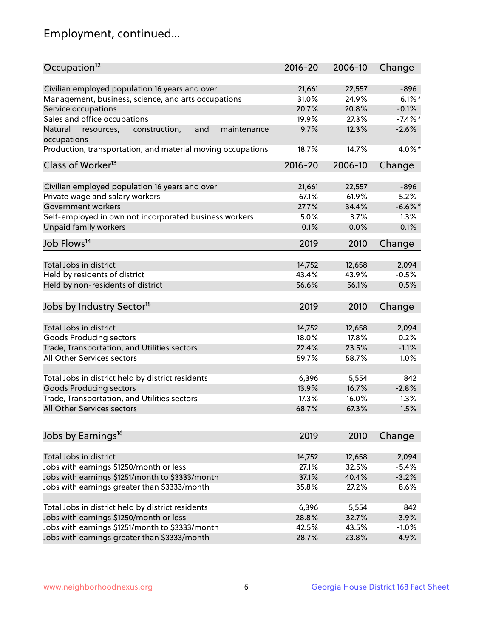## Employment, continued...

| Occupation <sup>12</sup>                                     | $2016 - 20$ | 2006-10         | Change       |
|--------------------------------------------------------------|-------------|-----------------|--------------|
| Civilian employed population 16 years and over               | 21,661      | 22,557          | $-896$       |
| Management, business, science, and arts occupations          | 31.0%       | 24.9%           | $6.1\%$ *    |
| Service occupations                                          | 20.7%       | 20.8%           | $-0.1%$      |
| Sales and office occupations                                 | 19.9%       | 27.3%           | $-7.4\%$ *   |
| and<br>maintenance<br>Natural<br>resources,<br>construction, | 9.7%        | 12.3%           | $-2.6%$      |
| occupations                                                  |             |                 |              |
| Production, transportation, and material moving occupations  | 18.7%       | 14.7%           | 4.0%*        |
| Class of Worker <sup>13</sup>                                | $2016 - 20$ | 2006-10         | Change       |
| Civilian employed population 16 years and over               | 21,661      | 22,557          | $-896$       |
| Private wage and salary workers                              | 67.1%       | 61.9%           | 5.2%         |
| Government workers                                           | 27.7%       | 34.4%           | $-6.6%$      |
|                                                              |             |                 |              |
| Self-employed in own not incorporated business workers       | 5.0%        | 3.7%            | 1.3%<br>0.1% |
| Unpaid family workers                                        | 0.1%        | 0.0%            |              |
| Job Flows <sup>14</sup>                                      | 2019        | 2010            | Change       |
| Total Jobs in district                                       | 14,752      | 12,658          | 2,094        |
|                                                              |             |                 | $-0.5%$      |
| Held by residents of district                                | 43.4%       | 43.9%           |              |
| Held by non-residents of district                            | 56.6%       | 56.1%           | 0.5%         |
| Jobs by Industry Sector <sup>15</sup>                        | 2019        | 2010            | Change       |
| Total Jobs in district                                       | 14,752      | 12,658          | 2,094        |
|                                                              |             | 17.8%           | 0.2%         |
| Goods Producing sectors                                      | 18.0%       |                 | $-1.1%$      |
| Trade, Transportation, and Utilities sectors                 | 22.4%       | 23.5%           |              |
| All Other Services sectors                                   | 59.7%       | 58.7%           | 1.0%         |
| Total Jobs in district held by district residents            | 6,396       | 5,554           | 842          |
| <b>Goods Producing sectors</b>                               | 13.9%       | 16.7%           | $-2.8%$      |
| Trade, Transportation, and Utilities sectors                 | 17.3%       | 16.0%           | 1.3%         |
| All Other Services sectors                                   | 68.7%       | 67.3%           | 1.5%         |
|                                                              |             |                 |              |
| Jobs by Earnings <sup>16</sup>                               | 2019        | 2010            | Change       |
|                                                              |             |                 |              |
| Total Jobs in district                                       | 14,752      | 12,658<br>32.5% | 2,094        |
| Jobs with earnings \$1250/month or less                      | 27.1%       |                 | $-5.4%$      |
| Jobs with earnings \$1251/month to \$3333/month              | 37.1%       | 40.4%           | $-3.2%$      |
| Jobs with earnings greater than \$3333/month                 | 35.8%       | 27.2%           | 8.6%         |
| Total Jobs in district held by district residents            | 6,396       | 5,554           | 842          |
| Jobs with earnings \$1250/month or less                      | 28.8%       | 32.7%           | $-3.9%$      |
| Jobs with earnings \$1251/month to \$3333/month              | 42.5%       | 43.5%           | $-1.0%$      |
| Jobs with earnings greater than \$3333/month                 | 28.7%       | 23.8%           | 4.9%         |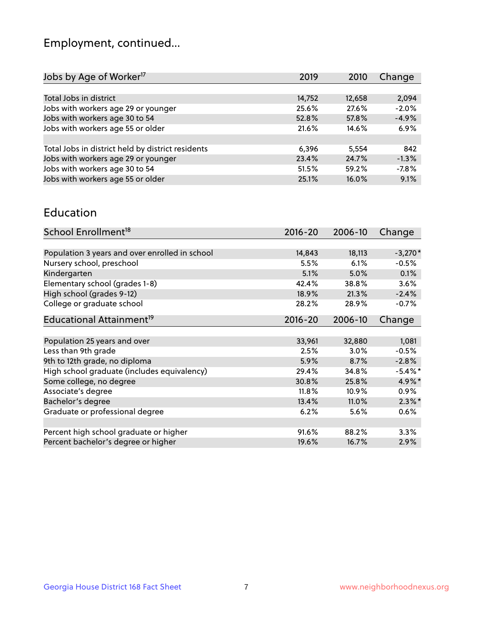## Employment, continued...

| 2010   | Change                                                                        |
|--------|-------------------------------------------------------------------------------|
|        |                                                                               |
| 12,658 | 2,094                                                                         |
| 27.6%  | $-2.0%$                                                                       |
| 57.8%  | $-4.9%$                                                                       |
| 14.6%  | 6.9%                                                                          |
|        |                                                                               |
| 5.554  | 842                                                                           |
| 24.7%  | $-1.3%$                                                                       |
| 59.2%  | $-7.8%$                                                                       |
| 16.0%  | 9.1%                                                                          |
|        | 2019<br>14,752<br>25.6%<br>52.8%<br>21.6%<br>6,396<br>23.4%<br>51.5%<br>25.1% |

#### Education

| School Enrollment <sup>18</sup>                | $2016 - 20$ | 2006-10 | Change     |
|------------------------------------------------|-------------|---------|------------|
|                                                |             |         |            |
| Population 3 years and over enrolled in school | 14,843      | 18,113  | $-3,270*$  |
| Nursery school, preschool                      | 5.5%        | 6.1%    | $-0.5%$    |
| Kindergarten                                   | 5.1%        | 5.0%    | 0.1%       |
| Elementary school (grades 1-8)                 | 42.4%       | 38.8%   | 3.6%       |
| High school (grades 9-12)                      | 18.9%       | 21.3%   | $-2.4%$    |
| College or graduate school                     | 28.2%       | 28.9%   | $-0.7%$    |
| Educational Attainment <sup>19</sup>           | $2016 - 20$ | 2006-10 | Change     |
|                                                |             |         |            |
| Population 25 years and over                   | 33,961      | 32,880  | 1,081      |
| Less than 9th grade                            | 2.5%        | $3.0\%$ | $-0.5%$    |
| 9th to 12th grade, no diploma                  | 5.9%        | 8.7%    | $-2.8%$    |
| High school graduate (includes equivalency)    | 29.4%       | 34.8%   | $-5.4\%$ * |
| Some college, no degree                        | 30.8%       | 25.8%   | 4.9%*      |
| Associate's degree                             | 11.8%       | 10.9%   | 0.9%       |
| Bachelor's degree                              | 13.4%       | 11.0%   | $2.3\%$ *  |
| Graduate or professional degree                | 6.2%        | 5.6%    | 0.6%       |
|                                                |             |         |            |
| Percent high school graduate or higher         | 91.6%       | 88.2%   | 3.3%       |
| Percent bachelor's degree or higher            | 19.6%       | 16.7%   | 2.9%       |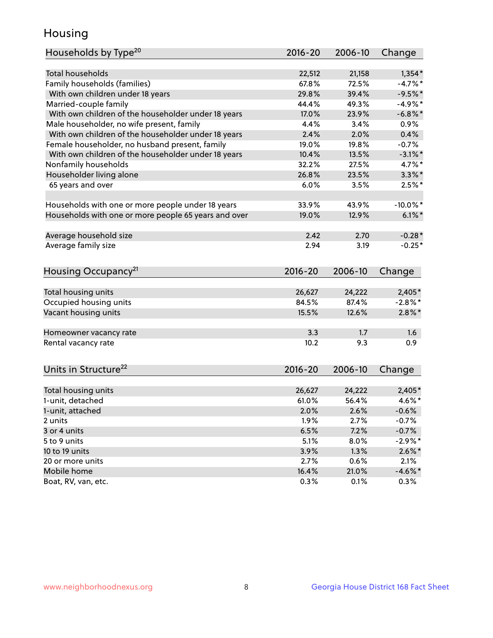## Housing

| Households by Type <sup>20</sup>                     | 2016-20 | 2006-10 | Change      |
|------------------------------------------------------|---------|---------|-------------|
|                                                      |         |         |             |
| <b>Total households</b>                              | 22,512  | 21,158  | $1,354*$    |
| Family households (families)                         | 67.8%   | 72.5%   | $-4.7%$ *   |
| With own children under 18 years                     | 29.8%   | 39.4%   | $-9.5%$ *   |
| Married-couple family                                | 44.4%   | 49.3%   | $-4.9%$ *   |
| With own children of the householder under 18 years  | 17.0%   | 23.9%   | $-6.8\%$ *  |
| Male householder, no wife present, family            | 4.4%    | 3.4%    | 0.9%        |
| With own children of the householder under 18 years  | 2.4%    | 2.0%    | 0.4%        |
| Female householder, no husband present, family       | 19.0%   | 19.8%   | $-0.7%$     |
| With own children of the householder under 18 years  | 10.4%   | 13.5%   | $-3.1\%$ *  |
| Nonfamily households                                 | 32.2%   | 27.5%   | 4.7%*       |
| Householder living alone                             | 26.8%   | 23.5%   | $3.3\%$ *   |
| 65 years and over                                    | 6.0%    | 3.5%    | $2.5%$ *    |
| Households with one or more people under 18 years    | 33.9%   | 43.9%   | $-10.0\%$ * |
| Households with one or more people 65 years and over | 19.0%   | 12.9%   | $6.1\%$ *   |
|                                                      |         |         |             |
| Average household size                               | 2.42    | 2.70    | $-0.28*$    |
| Average family size                                  | 2.94    | 3.19    | $-0.25*$    |
| Housing Occupancy <sup>21</sup>                      | 2016-20 | 2006-10 | Change      |
| Total housing units                                  | 26,627  | 24,222  | 2,405*      |
| Occupied housing units                               | 84.5%   | 87.4%   | $-2.8\%$ *  |
| Vacant housing units                                 | 15.5%   | 12.6%   | $2.8\%$ *   |
|                                                      |         |         |             |
| Homeowner vacancy rate                               | 3.3     | 1.7     | 1.6         |
| Rental vacancy rate                                  | 10.2    | 9.3     | 0.9         |
| Units in Structure <sup>22</sup>                     | 2016-20 | 2006-10 | Change      |
| Total housing units                                  | 26,627  | 24,222  | $2,405*$    |
| 1-unit, detached                                     | 61.0%   | 56.4%   | 4.6%*       |
| 1-unit, attached                                     | 2.0%    | 2.6%    | $-0.6%$     |
| 2 units                                              | 1.9%    | 2.7%    | $-0.7%$     |
| 3 or 4 units                                         | 6.5%    | 7.2%    | $-0.7%$     |
| 5 to 9 units                                         | 5.1%    | 8.0%    | $-2.9\%$ *  |
| 10 to 19 units                                       | 3.9%    | 1.3%    | $2.6\%$ *   |
| 20 or more units                                     | 2.7%    | 0.6%    | 2.1%        |
| Mobile home                                          | 16.4%   | 21.0%   | $-4.6\%$ *  |
| Boat, RV, van, etc.                                  | 0.3%    | 0.1%    | 0.3%        |
|                                                      |         |         |             |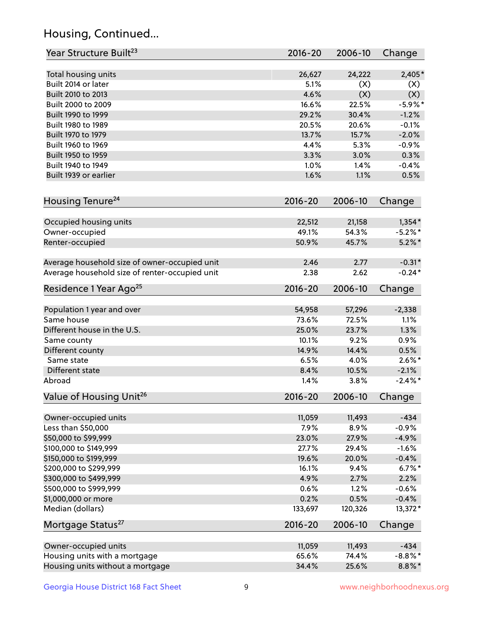## Housing, Continued...

| Year Structure Built <sup>23</sup>             | 2016-20     | 2006-10      | Change     |
|------------------------------------------------|-------------|--------------|------------|
| Total housing units                            | 26,627      | 24,222       | 2,405*     |
| Built 2014 or later                            | 5.1%        | (X)          | (X)        |
| Built 2010 to 2013                             | 4.6%        | (X)          | (X)        |
| Built 2000 to 2009                             | 16.6%       | 22.5%        | $-5.9%$ *  |
| Built 1990 to 1999                             | 29.2%       | 30.4%        | $-1.2%$    |
| Built 1980 to 1989                             | 20.5%       | 20.6%        | $-0.1%$    |
| Built 1970 to 1979                             | 13.7%       | 15.7%        | $-2.0%$    |
| Built 1960 to 1969                             | 4.4%        | 5.3%         | $-0.9%$    |
| Built 1950 to 1959                             | 3.3%        | 3.0%         | 0.3%       |
| Built 1940 to 1949                             | 1.0%        | 1.4%         | $-0.4%$    |
| Built 1939 or earlier                          | 1.6%        | 1.1%         | 0.5%       |
| Housing Tenure <sup>24</sup>                   | $2016 - 20$ | 2006-10      | Change     |
| Occupied housing units                         | 22,512      | 21,158       | $1,354*$   |
| Owner-occupied                                 | 49.1%       | 54.3%        | $-5.2\%$ * |
| Renter-occupied                                | 50.9%       | 45.7%        | $5.2\%$ *  |
|                                                |             |              |            |
| Average household size of owner-occupied unit  | 2.46        | 2.77         | $-0.31*$   |
| Average household size of renter-occupied unit | 2.38        | 2.62         | $-0.24*$   |
| Residence 1 Year Ago <sup>25</sup>             | $2016 - 20$ | 2006-10      | Change     |
|                                                |             |              |            |
| Population 1 year and over                     | 54,958      | 57,296       | $-2,338$   |
| Same house                                     | 73.6%       | 72.5%        | 1.1%       |
| Different house in the U.S.                    | 25.0%       | 23.7%        | 1.3%       |
| Same county                                    | 10.1%       | 9.2%         | 0.9%       |
| Different county                               | 14.9%       | 14.4%        | 0.5%       |
| Same state                                     | 6.5%        | 4.0%         | $2.6\%$ *  |
| Different state                                | 8.4%        | 10.5%        | $-2.1%$    |
| Abroad                                         | 1.4%        | 3.8%         | $-2.4\%$ * |
| Value of Housing Unit <sup>26</sup>            | $2016 - 20$ | 2006-10      | Change     |
|                                                |             |              |            |
| Owner-occupied units                           | 11,059      | 11,493       | $-434$     |
| Less than \$50,000                             | 7.9%        | 8.9%         | $-0.9%$    |
| \$50,000 to \$99,999                           | 23.0%       | 27.9%        | $-4.9%$    |
| \$100,000 to \$149,999                         | 27.7%       | 29.4%        | $-1.6%$    |
| \$150,000 to \$199,999                         | 19.6%       | 20.0%        | $-0.4%$    |
| \$200,000 to \$299,999                         | 16.1%       | 9.4%<br>2.7% | $6.7\%$ *  |
| \$300,000 to \$499,999                         | 4.9%        |              | 2.2%       |
| \$500,000 to \$999,999                         | 0.6%        | 1.2%         | $-0.6%$    |
| \$1,000,000 or more                            | 0.2%        | 0.5%         | $-0.4%$    |
| Median (dollars)                               | 133,697     | 120,326      | 13,372*    |
| Mortgage Status <sup>27</sup>                  | $2016 - 20$ | 2006-10      | Change     |
| Owner-occupied units                           | 11,059      | 11,493       | $-434$     |
| Housing units with a mortgage                  | 65.6%       | 74.4%        | $-8.8\%$ * |
| Housing units without a mortgage               | 34.4%       | 25.6%        | $8.8\%$ *  |
|                                                |             |              |            |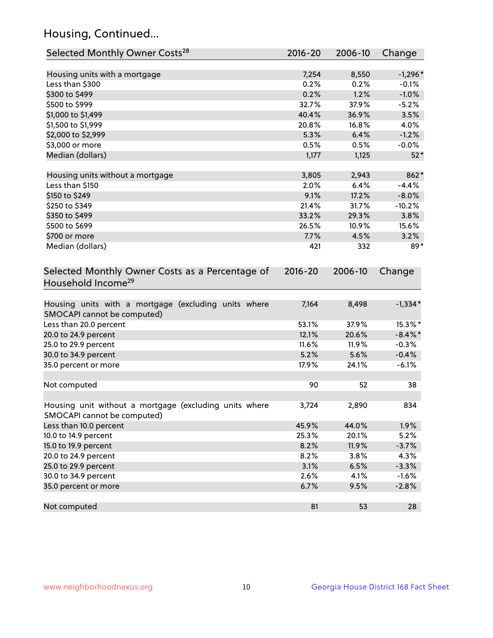## Housing, Continued...

| Selected Monthly Owner Costs <sup>28</sup>                                            | 2016-20     | 2006-10 | Change     |
|---------------------------------------------------------------------------------------|-------------|---------|------------|
| Housing units with a mortgage                                                         | 7,254       | 8,550   | $-1,296*$  |
| Less than \$300                                                                       | 0.2%        | 0.2%    | $-0.1%$    |
| \$300 to \$499                                                                        | 0.2%        | 1.2%    | $-1.0%$    |
| \$500 to \$999                                                                        | 32.7%       | 37.9%   | $-5.2%$    |
| \$1,000 to \$1,499                                                                    | 40.4%       | 36.9%   | 3.5%       |
| \$1,500 to \$1,999                                                                    | 20.8%       | 16.8%   | 4.0%       |
| \$2,000 to \$2,999                                                                    | 5.3%        | 6.4%    | $-1.2%$    |
| \$3,000 or more                                                                       | 0.5%        | 0.5%    | $-0.0%$    |
| Median (dollars)                                                                      | 1,177       | 1,125   | $52*$      |
| Housing units without a mortgage                                                      | 3,805       | 2,943   | 862*       |
| Less than \$150                                                                       | 2.0%        | 6.4%    | $-4.4%$    |
| \$150 to \$249                                                                        | 9.1%        | 17.2%   | $-8.0%$    |
| \$250 to \$349                                                                        | 21.4%       | 31.7%   | $-10.2%$   |
| \$350 to \$499                                                                        | 33.2%       | 29.3%   | 3.8%       |
| \$500 to \$699                                                                        | 26.5%       | 10.9%   | 15.6%      |
| \$700 or more                                                                         | 7.7%        | 4.5%    | 3.2%       |
| Median (dollars)                                                                      | 421         | 332     | 89*        |
| Selected Monthly Owner Costs as a Percentage of<br>Household Income <sup>29</sup>     | $2016 - 20$ | 2006-10 | Change     |
| Housing units with a mortgage (excluding units where<br>SMOCAPI cannot be computed)   | 7,164       | 8,498   | $-1,334*$  |
| Less than 20.0 percent                                                                | 53.1%       | 37.9%   | 15.3%*     |
| 20.0 to 24.9 percent                                                                  | 12.1%       | 20.6%   | $-8.4\%$ * |
| 25.0 to 29.9 percent                                                                  | 11.6%       | 11.9%   | $-0.3%$    |
| 30.0 to 34.9 percent                                                                  | 5.2%        | 5.6%    | $-0.4%$    |
| 35.0 percent or more                                                                  | 17.9%       | 24.1%   | $-6.1%$    |
| Not computed                                                                          | 90          | 52      | 38         |
| Housing unit without a mortgage (excluding units where<br>SMOCAPI cannot be computed) | 3,724       | 2,890   | 834        |
| Less than 10.0 percent                                                                | 45.9%       | 44.0%   | 1.9%       |
| 10.0 to 14.9 percent                                                                  | 25.3%       | 20.1%   | 5.2%       |
| 15.0 to 19.9 percent                                                                  | 8.2%        | 11.9%   | $-3.7%$    |
| 20.0 to 24.9 percent                                                                  | 8.2%        | 3.8%    | 4.3%       |
| 25.0 to 29.9 percent                                                                  | 3.1%        | 6.5%    | $-3.3%$    |
| 30.0 to 34.9 percent                                                                  | 2.6%        | 4.1%    | $-1.6%$    |
| 35.0 percent or more                                                                  | 6.7%        | 9.5%    | $-2.8%$    |
| Not computed                                                                          | 81          | 53      | 28         |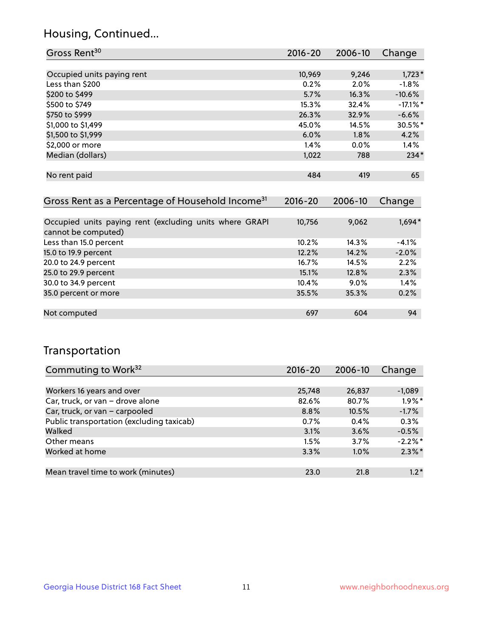## Housing, Continued...

| Gross Rent <sup>30</sup>   | 2016-20 | 2006-10 | Change      |
|----------------------------|---------|---------|-------------|
|                            |         |         |             |
| Occupied units paying rent | 10,969  | 9,246   | $1,723*$    |
| Less than \$200            | 0.2%    | 2.0%    | $-1.8%$     |
| \$200 to \$499             | 5.7%    | 16.3%   | $-10.6%$    |
| \$500 to \$749             | 15.3%   | 32.4%   | $-17.1\%$ * |
| \$750 to \$999             | 26.3%   | 32.9%   | $-6.6%$     |
| \$1,000 to \$1,499         | 45.0%   | 14.5%   | 30.5%*      |
| \$1,500 to \$1,999         | 6.0%    | 1.8%    | 4.2%        |
| \$2,000 or more            | 1.4%    | $0.0\%$ | 1.4%        |
| Median (dollars)           | 1,022   | 788     | $234*$      |
|                            |         |         |             |
| No rent paid               | 484     | 419     | 65          |

| Gross Rent as a Percentage of Household Income <sup>31</sup>                   | $2016 - 20$ | 2006-10 | Change  |
|--------------------------------------------------------------------------------|-------------|---------|---------|
|                                                                                |             |         |         |
| Occupied units paying rent (excluding units where GRAPI<br>cannot be computed) | 10,756      | 9,062   | 1,694*  |
| Less than 15.0 percent                                                         | 10.2%       | 14.3%   | $-4.1%$ |
| 15.0 to 19.9 percent                                                           | 12.2%       | 14.2%   | $-2.0%$ |
| 20.0 to 24.9 percent                                                           | 16.7%       | 14.5%   | 2.2%    |
| 25.0 to 29.9 percent                                                           | 15.1%       | 12.8%   | 2.3%    |
| 30.0 to 34.9 percent                                                           | 10.4%       | $9.0\%$ | 1.4%    |
| 35.0 percent or more                                                           | 35.5%       | 35.3%   | 0.2%    |
|                                                                                |             |         |         |
| Not computed                                                                   | 697         | 604     | 94      |

## Transportation

| Commuting to Work <sup>32</sup>           | 2016-20 | 2006-10 | Change     |
|-------------------------------------------|---------|---------|------------|
|                                           |         |         |            |
| Workers 16 years and over                 | 25,748  | 26,837  | $-1,089$   |
| Car, truck, or van - drove alone          | 82.6%   | 80.7%   | $1.9\%$ *  |
| Car, truck, or van - carpooled            | 8.8%    | 10.5%   | $-1.7%$    |
| Public transportation (excluding taxicab) | 0.7%    | 0.4%    | 0.3%       |
| Walked                                    | 3.1%    | 3.6%    | $-0.5%$    |
| Other means                               | 1.5%    | 3.7%    | $-2.2\%$ * |
| Worked at home                            | 3.3%    | 1.0%    | $2.3\%$ *  |
|                                           |         |         |            |
| Mean travel time to work (minutes)        | 23.0    | 21.8    | $1.2*$     |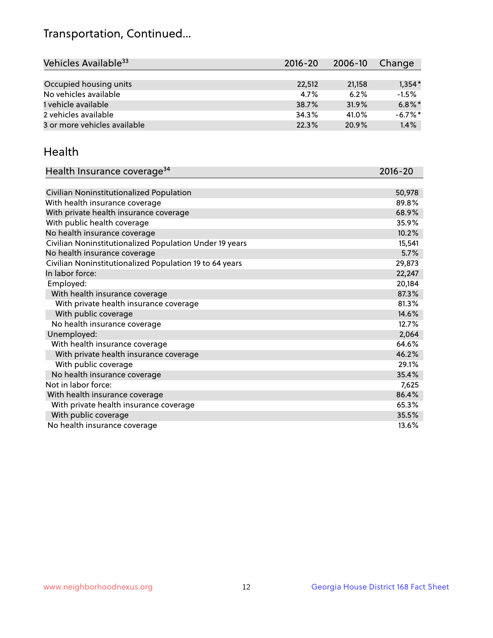## Transportation, Continued...

| Vehicles Available <sup>33</sup> | $2016 - 20$ | $2006 - 10$ | Change     |
|----------------------------------|-------------|-------------|------------|
|                                  |             |             |            |
| Occupied housing units           | 22,512      | 21,158      | $1,354*$   |
| No vehicles available            | 4.7%        | 6.2%        | $-1.5%$    |
| 1 vehicle available              | 38.7%       | 31.9%       | $6.8\%$ *  |
| 2 vehicles available             | 34.3%       | 41.0%       | $-6.7\%$ * |
| 3 or more vehicles available     | 22.3%       | 20.9%       | 1.4%       |

#### Health

| Health Insurance coverage <sup>34</sup>                 | 2016-20 |
|---------------------------------------------------------|---------|
|                                                         |         |
| Civilian Noninstitutionalized Population                | 50,978  |
| With health insurance coverage                          | 89.8%   |
| With private health insurance coverage                  | 68.9%   |
| With public health coverage                             | 35.9%   |
| No health insurance coverage                            | 10.2%   |
| Civilian Noninstitutionalized Population Under 19 years | 15,541  |
| No health insurance coverage                            | 5.7%    |
| Civilian Noninstitutionalized Population 19 to 64 years | 29,873  |
| In labor force:                                         | 22,247  |
| Employed:                                               | 20,184  |
| With health insurance coverage                          | 87.3%   |
| With private health insurance coverage                  | 81.3%   |
| With public coverage                                    | 14.6%   |
| No health insurance coverage                            | 12.7%   |
| Unemployed:                                             | 2,064   |
| With health insurance coverage                          | 64.6%   |
| With private health insurance coverage                  | 46.2%   |
| With public coverage                                    | 29.1%   |
| No health insurance coverage                            | 35.4%   |
| Not in labor force:                                     | 7,625   |
| With health insurance coverage                          | 86.4%   |
| With private health insurance coverage                  | 65.3%   |
| With public coverage                                    | 35.5%   |
| No health insurance coverage                            | 13.6%   |